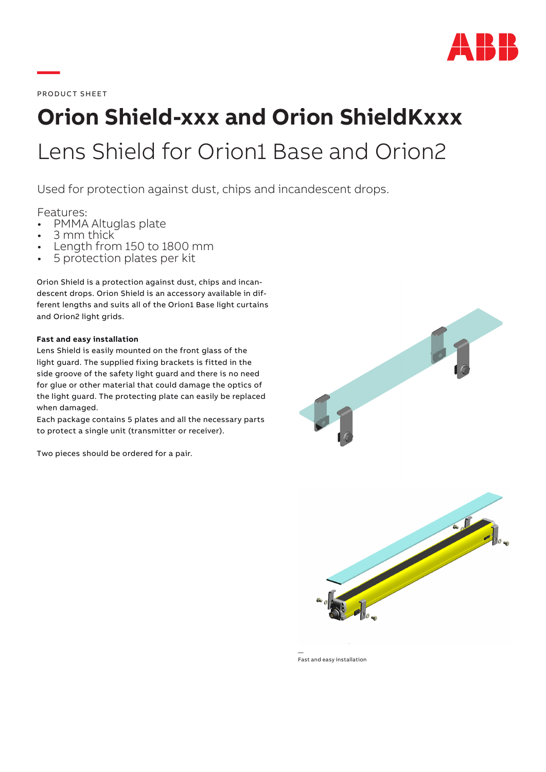

PRODUCT SHEET

**—**

# **Orion Shield-xxx and Orion ShieldKxxx** Lens Shield for Orion1 Base and Orion2

Used for protection against dust, chips and incandescent drops.

- Features:<br>• PMMA Altuglas plate
- 
- 3 mm thick<br>• Length from 150 to 1800 mm<br>• 5 protection plates per kit
- 

Orion Shield is a protection against dust, chips and incandescent drops. Orion Shield is an accessory available in different lengths and suits all of the Orion1 Base light curtains and Orion2 light grids.

#### **Fast and easy installation**

Lens Shield is easily mounted on the front glass of the light guard. The supplied fixing brackets is fitted in the side groove of the safety light guard and there is no need for glue or other material that could damage the optics of the light guard. The protecting plate can easily be replaced when damaged.

Each package contains 5 plates and all the necessary parts to protect a single unit (transmitter or receiver).

Two pieces should be ordered for a pair.





— Fast and easy installation